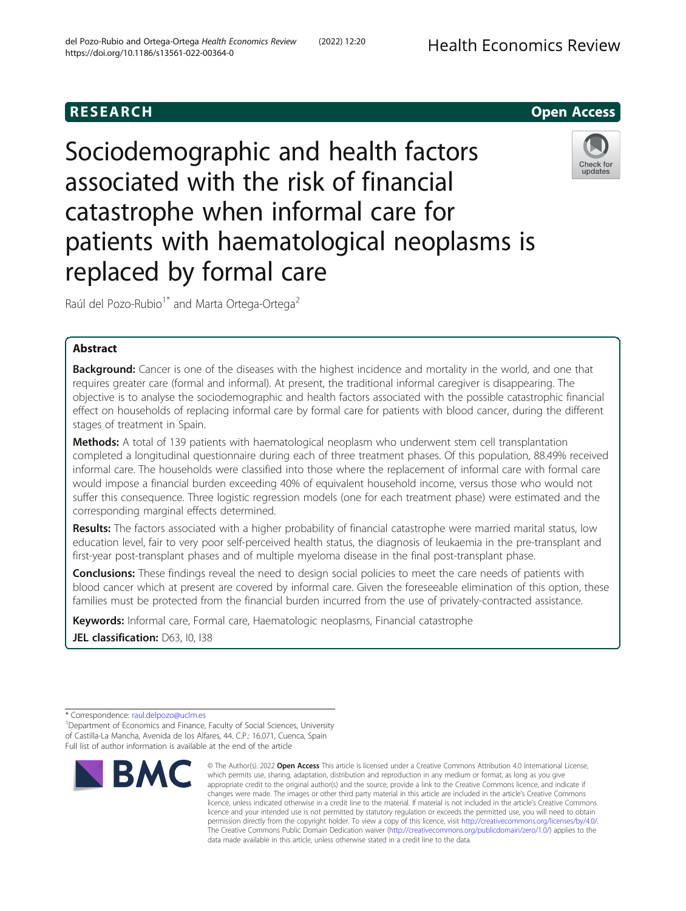# **RESEARCH CHILD CONTROL** CONTROL CONTROL CONTROL CONTROL CONTROL CONTROL CONTROL CONTROL CONTROL CONTROL CONTROL

# Sociodemographic and health factors associated with the risk of financial catastrophe when informal care for patients with haematological neoplasms is replaced by formal care

Raúl del Pozo-Rubio<sup>1\*</sup> and Marta Ortega-Ortega<sup>2</sup>

# Abstract

Background: Cancer is one of the diseases with the highest incidence and mortality in the world, and one that requires greater care (formal and informal). At present, the traditional informal caregiver is disappearing. The objective is to analyse the sociodemographic and health factors associated with the possible catastrophic financial effect on households of replacing informal care by formal care for patients with blood cancer, during the different stages of treatment in Spain.

**Methods:** A total of 139 patients with haematological neoplasm who underwent stem cell transplantation completed a longitudinal questionnaire during each of three treatment phases. Of this population, 88.49% received informal care. The households were classified into those where the replacement of informal care with formal care would impose a financial burden exceeding 40% of equivalent household income, versus those who would not suffer this consequence. Three logistic regression models (one for each treatment phase) were estimated and the corresponding marginal effects determined.

Results: The factors associated with a higher probability of financial catastrophe were married marital status, low education level, fair to very poor self-perceived health status, the diagnosis of leukaemia in the pre-transplant and first-year post-transplant phases and of multiple myeloma disease in the final post-transplant phase.

Conclusions: These findings reveal the need to design social policies to meet the care needs of patients with blood cancer which at present are covered by informal care. Given the foreseeable elimination of this option, these families must be protected from the financial burden incurred from the use of privately-contracted assistance.

Keywords: Informal care, Formal care, Haematologic neoplasms, Financial catastrophe

JEL classification: D63, IO, I38

**BMC** 



© The Author(s), 2022 **Open Access** This article is licensed under a Creative Commons Attribution 4.0 International License,



<sup>\*</sup> Correspondence: [raul.delpozo@uclm.es](mailto:raul.delpozo@uclm.es) <sup>1</sup>

<sup>&</sup>lt;sup>1</sup> Department of Economics and Finance, Faculty of Social Sciences, University of Castilla-La Mancha, Avenida de los Alfares, 44. C.P.: 16.071, Cuenca, Spain Full list of author information is available at the end of the article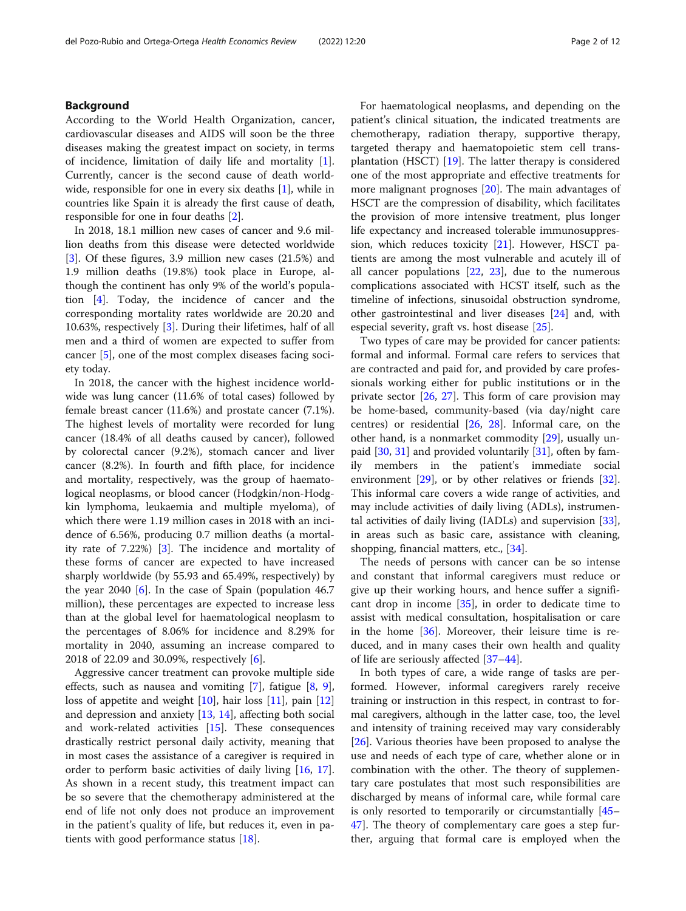# Background

According to the World Health Organization, cancer, cardiovascular diseases and AIDS will soon be the three diseases making the greatest impact on society, in terms of incidence, limitation of daily life and mortality [\[1](#page-9-0)]. Currently, cancer is the second cause of death worldwide, responsible for one in every six deaths [[1\]](#page-9-0), while in countries like Spain it is already the first cause of death, responsible for one in four deaths [\[2](#page-9-0)].

In 2018, 18.1 million new cases of cancer and 9.6 million deaths from this disease were detected worldwide [[3\]](#page-9-0). Of these figures, 3.9 million new cases (21.5%) and 1.9 million deaths (19.8%) took place in Europe, although the continent has only 9% of the world's population [[4\]](#page-9-0). Today, the incidence of cancer and the corresponding mortality rates worldwide are 20.20 and 10.63%, respectively [\[3](#page-9-0)]. During their lifetimes, half of all men and a third of women are expected to suffer from cancer [[5](#page-9-0)], one of the most complex diseases facing society today.

In 2018, the cancer with the highest incidence worldwide was lung cancer (11.6% of total cases) followed by female breast cancer (11.6%) and prostate cancer (7.1%). The highest levels of mortality were recorded for lung cancer (18.4% of all deaths caused by cancer), followed by colorectal cancer (9.2%), stomach cancer and liver cancer (8.2%). In fourth and fifth place, for incidence and mortality, respectively, was the group of haematological neoplasms, or blood cancer (Hodgkin/non-Hodgkin lymphoma, leukaemia and multiple myeloma), of which there were 1.19 million cases in 2018 with an incidence of 6.56%, producing 0.7 million deaths (a mortality rate of 7.22%) [\[3](#page-9-0)]. The incidence and mortality of these forms of cancer are expected to have increased sharply worldwide (by 55.93 and 65.49%, respectively) by the year 2040 [[6\]](#page-9-0). In the case of Spain (population 46.7 million), these percentages are expected to increase less than at the global level for haematological neoplasm to the percentages of 8.06% for incidence and 8.29% for mortality in 2040, assuming an increase compared to 2018 of 22.09 and 30.09%, respectively [\[6](#page-9-0)].

Aggressive cancer treatment can provoke multiple side effects, such as nausea and vomiting [[7\]](#page-9-0), fatigue [[8,](#page-9-0) [9](#page-9-0)], loss of appetite and weight  $[10]$  $[10]$ , hair loss  $[11]$  $[11]$ , pain  $[12]$  $[12]$  $[12]$ and depression and anxiety [[13,](#page-9-0) [14\]](#page-9-0), affecting both social and work-related activities [[15\]](#page-9-0). These consequences drastically restrict personal daily activity, meaning that in most cases the assistance of a caregiver is required in order to perform basic activities of daily living [[16](#page-9-0), [17](#page-10-0)]. As shown in a recent study, this treatment impact can be so severe that the chemotherapy administered at the end of life not only does not produce an improvement in the patient's quality of life, but reduces it, even in patients with good performance status [\[18](#page-10-0)].

For haematological neoplasms, and depending on the patient's clinical situation, the indicated treatments are chemotherapy, radiation therapy, supportive therapy, targeted therapy and haematopoietic stem cell transplantation (HSCT) [\[19\]](#page-10-0). The latter therapy is considered one of the most appropriate and effective treatments for more malignant prognoses  $[20]$ . The main advantages of HSCT are the compression of disability, which facilitates the provision of more intensive treatment, plus longer life expectancy and increased tolerable immunosuppression, which reduces toxicity [[21](#page-10-0)]. However, HSCT patients are among the most vulnerable and acutely ill of all cancer populations  $[22, 23]$  $[22, 23]$  $[22, 23]$  $[22, 23]$ , due to the numerous complications associated with HCST itself, such as the timeline of infections, sinusoidal obstruction syndrome, other gastrointestinal and liver diseases [[24\]](#page-10-0) and, with especial severity, graft vs. host disease [\[25](#page-10-0)].

Two types of care may be provided for cancer patients: formal and informal. Formal care refers to services that are contracted and paid for, and provided by care professionals working either for public institutions or in the private sector [[26,](#page-10-0) [27](#page-10-0)]. This form of care provision may be home-based, community-based (via day/night care centres) or residential [\[26,](#page-10-0) [28](#page-10-0)]. Informal care, on the other hand, is a nonmarket commodity [\[29\]](#page-10-0), usually unpaid [\[30](#page-10-0), [31\]](#page-10-0) and provided voluntarily [\[31](#page-10-0)], often by family members in the patient's immediate social environment [\[29](#page-10-0)], or by other relatives or friends [\[32](#page-10-0)]. This informal care covers a wide range of activities, and may include activities of daily living (ADLs), instrumental activities of daily living (IADLs) and supervision [\[33](#page-10-0)], in areas such as basic care, assistance with cleaning, shopping, financial matters, etc., [[34\]](#page-10-0).

The needs of persons with cancer can be so intense and constant that informal caregivers must reduce or give up their working hours, and hence suffer a significant drop in income [\[35](#page-10-0)], in order to dedicate time to assist with medical consultation, hospitalisation or care in the home [[36](#page-10-0)]. Moreover, their leisure time is reduced, and in many cases their own health and quality of life are seriously affected [[37](#page-10-0)–[44](#page-10-0)].

In both types of care, a wide range of tasks are performed. However, informal caregivers rarely receive training or instruction in this respect, in contrast to formal caregivers, although in the latter case, too, the level and intensity of training received may vary considerably [[26\]](#page-10-0). Various theories have been proposed to analyse the use and needs of each type of care, whether alone or in combination with the other. The theory of supplementary care postulates that most such responsibilities are discharged by means of informal care, while formal care is only resorted to temporarily or circumstantially [[45](#page-10-0)– [47\]](#page-10-0). The theory of complementary care goes a step further, arguing that formal care is employed when the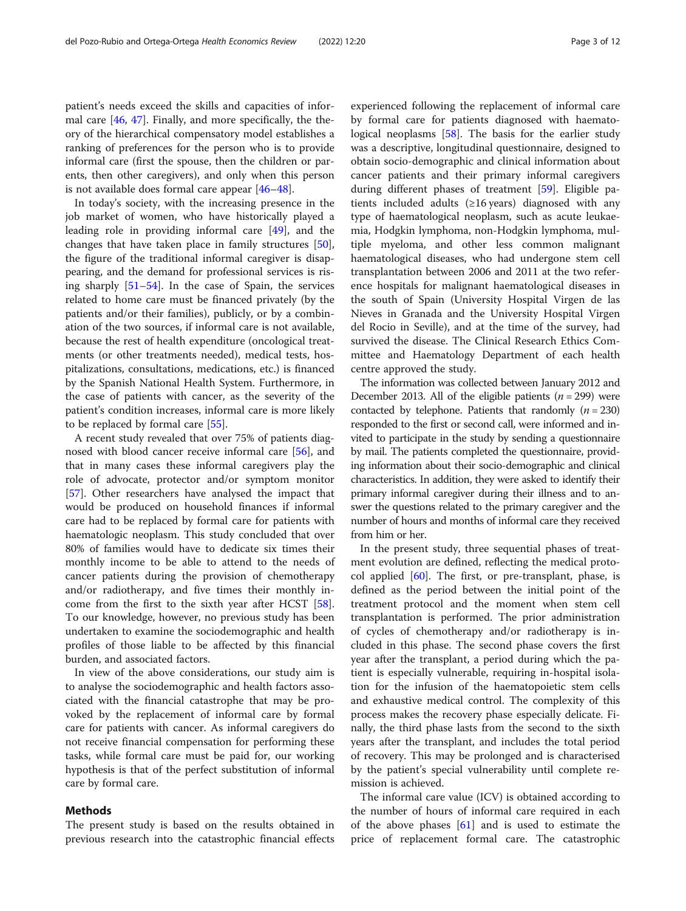patient's needs exceed the skills and capacities of informal care  $[46, 47]$  $[46, 47]$  $[46, 47]$  $[46, 47]$ . Finally, and more specifically, the theory of the hierarchical compensatory model establishes a ranking of preferences for the person who is to provide informal care (first the spouse, then the children or parents, then other caregivers), and only when this person is not available does formal care appear [[46](#page-10-0)–[48](#page-10-0)].

In today's society, with the increasing presence in the job market of women, who have historically played a leading role in providing informal care [\[49](#page-10-0)], and the changes that have taken place in family structures [\[50](#page-10-0)], the figure of the traditional informal caregiver is disappearing, and the demand for professional services is rising sharply [\[51](#page-10-0)–[54\]](#page-10-0). In the case of Spain, the services related to home care must be financed privately (by the patients and/or their families), publicly, or by a combination of the two sources, if informal care is not available, because the rest of health expenditure (oncological treatments (or other treatments needed), medical tests, hospitalizations, consultations, medications, etc.) is financed by the Spanish National Health System. Furthermore, in the case of patients with cancer, as the severity of the patient's condition increases, informal care is more likely to be replaced by formal care [[55\]](#page-10-0).

A recent study revealed that over 75% of patients diagnosed with blood cancer receive informal care [[56\]](#page-10-0), and that in many cases these informal caregivers play the role of advocate, protector and/or symptom monitor [[57\]](#page-10-0). Other researchers have analysed the impact that would be produced on household finances if informal care had to be replaced by formal care for patients with haematologic neoplasm. This study concluded that over 80% of families would have to dedicate six times their monthly income to be able to attend to the needs of cancer patients during the provision of chemotherapy and/or radiotherapy, and five times their monthly income from the first to the sixth year after HCST [\[58](#page-10-0)]. To our knowledge, however, no previous study has been undertaken to examine the sociodemographic and health profiles of those liable to be affected by this financial burden, and associated factors.

In view of the above considerations, our study aim is to analyse the sociodemographic and health factors associated with the financial catastrophe that may be provoked by the replacement of informal care by formal care for patients with cancer. As informal caregivers do not receive financial compensation for performing these tasks, while formal care must be paid for, our working hypothesis is that of the perfect substitution of informal care by formal care.

# Methods

The present study is based on the results obtained in previous research into the catastrophic financial effects

experienced following the replacement of informal care by formal care for patients diagnosed with haemato-logical neoplasms [[58](#page-10-0)]. The basis for the earlier study was a descriptive, longitudinal questionnaire, designed to obtain socio-demographic and clinical information about cancer patients and their primary informal caregivers during different phases of treatment [[59\]](#page-10-0). Eligible patients included adults  $(\geq 16 \text{ years})$  diagnosed with any type of haematological neoplasm, such as acute leukaemia, Hodgkin lymphoma, non-Hodgkin lymphoma, multiple myeloma, and other less common malignant haematological diseases, who had undergone stem cell transplantation between 2006 and 2011 at the two reference hospitals for malignant haematological diseases in the south of Spain (University Hospital Virgen de las Nieves in Granada and the University Hospital Virgen del Rocio in Seville), and at the time of the survey, had survived the disease. The Clinical Research Ethics Committee and Haematology Department of each health centre approved the study.

The information was collected between January 2012 and December 2013. All of the eligible patients ( $n = 299$ ) were contacted by telephone. Patients that randomly  $(n = 230)$ responded to the first or second call, were informed and invited to participate in the study by sending a questionnaire by mail. The patients completed the questionnaire, providing information about their socio-demographic and clinical characteristics. In addition, they were asked to identify their primary informal caregiver during their illness and to answer the questions related to the primary caregiver and the number of hours and months of informal care they received from him or her.

In the present study, three sequential phases of treatment evolution are defined, reflecting the medical protocol applied  $[60]$  $[60]$ . The first, or pre-transplant, phase, is defined as the period between the initial point of the treatment protocol and the moment when stem cell transplantation is performed. The prior administration of cycles of chemotherapy and/or radiotherapy is included in this phase. The second phase covers the first year after the transplant, a period during which the patient is especially vulnerable, requiring in-hospital isolation for the infusion of the haematopoietic stem cells and exhaustive medical control. The complexity of this process makes the recovery phase especially delicate. Finally, the third phase lasts from the second to the sixth years after the transplant, and includes the total period of recovery. This may be prolonged and is characterised by the patient's special vulnerability until complete remission is achieved.

The informal care value (ICV) is obtained according to the number of hours of informal care required in each of the above phases [[61](#page-10-0)] and is used to estimate the price of replacement formal care. The catastrophic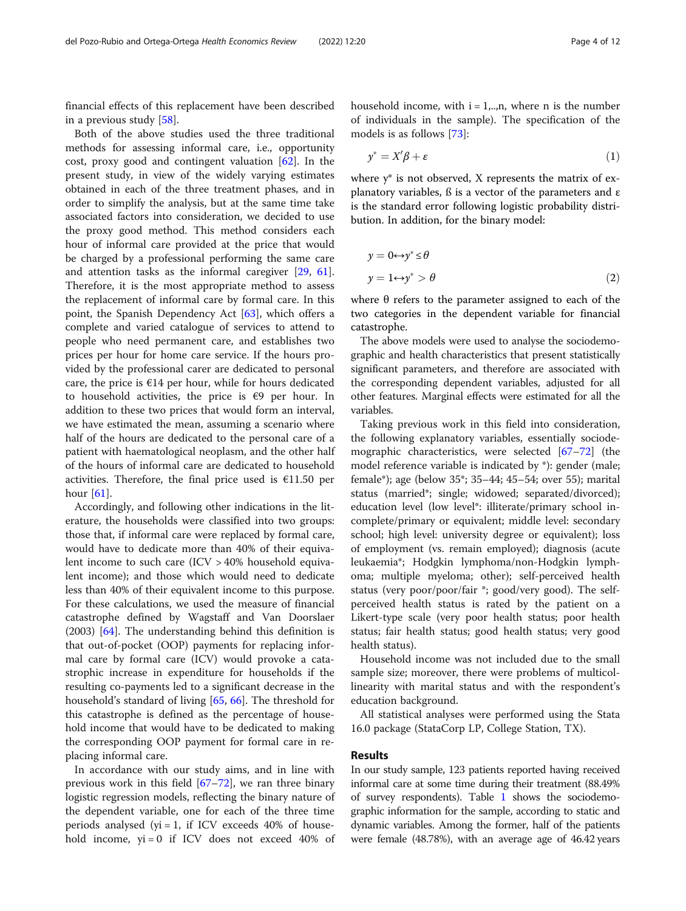financial effects of this replacement have been described in a previous study [\[58](#page-10-0)].

Both of the above studies used the three traditional methods for assessing informal care, i.e., opportunity cost, proxy good and contingent valuation [[62\]](#page-10-0). In the present study, in view of the widely varying estimates obtained in each of the three treatment phases, and in order to simplify the analysis, but at the same time take associated factors into consideration, we decided to use the proxy good method. This method considers each hour of informal care provided at the price that would be charged by a professional performing the same care and attention tasks as the informal caregiver [[29](#page-10-0), [61](#page-10-0)]. Therefore, it is the most appropriate method to assess the replacement of informal care by formal care. In this point, the Spanish Dependency Act [\[63](#page-10-0)], which offers a complete and varied catalogue of services to attend to people who need permanent care, and establishes two prices per hour for home care service. If the hours provided by the professional carer are dedicated to personal care, the price is  $E14$  per hour, while for hours dedicated to household activities, the price is  $\epsilon$ 9 per hour. In addition to these two prices that would form an interval, we have estimated the mean, assuming a scenario where half of the hours are dedicated to the personal care of a patient with haematological neoplasm, and the other half of the hours of informal care are dedicated to household activities. Therefore, the final price used is  $€11.50$  per hour [\[61](#page-10-0)].

Accordingly, and following other indications in the literature, the households were classified into two groups: those that, if informal care were replaced by formal care, would have to dedicate more than 40% of their equivalent income to such care (ICV > 40% household equivalent income); and those which would need to dedicate less than 40% of their equivalent income to this purpose. For these calculations, we used the measure of financial catastrophe defined by Wagstaff and Van Doorslaer (2003) [[64](#page-10-0)]. The understanding behind this definition is that out-of-pocket (OOP) payments for replacing informal care by formal care (ICV) would provoke a catastrophic increase in expenditure for households if the resulting co-payments led to a significant decrease in the household's standard of living [\[65,](#page-11-0) [66\]](#page-11-0). The threshold for this catastrophe is defined as the percentage of household income that would have to be dedicated to making the corresponding OOP payment for formal care in replacing informal care.

In accordance with our study aims, and in line with previous work in this field  $[67-72]$  $[67-72]$  $[67-72]$  $[67-72]$  $[67-72]$ , we ran three binary logistic regression models, reflecting the binary nature of the dependent variable, one for each of the three time periods analysed (yi = 1, if ICV exceeds 40% of household income, yi = 0 if ICV does not exceed 40% of household income, with  $i = 1, \ldots, n$ , where n is the number of individuals in the sample). The specification of the models is as follows [\[73](#page-11-0)]:

$$
y^* = X'\beta + \varepsilon \tag{1}
$$

where  $y^*$  is not observed, X represents the matrix of explanatory variables, ß is a vector of the parameters and ε is the standard error following logistic probability distribution. In addition, for the binary model:

$$
y = 0 \leftrightarrow y^* \le \theta
$$
  

$$
y = 1 \leftrightarrow y^* > \theta
$$
 (2)

where  $θ$  refers to the parameter assigned to each of the two categories in the dependent variable for financial catastrophe.

The above models were used to analyse the sociodemographic and health characteristics that present statistically significant parameters, and therefore are associated with the corresponding dependent variables, adjusted for all other features. Marginal effects were estimated for all the variables.

Taking previous work in this field into consideration, the following explanatory variables, essentially sociodemographic characteristics, were selected [[67](#page-11-0)–[72](#page-11-0)] (the model reference variable is indicated by \*): gender (male; female\*); age (below 35\*; 35–44; 45–54; over 55); marital status (married\*; single; widowed; separated/divorced); education level (low level\*: illiterate/primary school incomplete/primary or equivalent; middle level: secondary school; high level: university degree or equivalent); loss of employment (vs. remain employed); diagnosis (acute leukaemia\*; Hodgkin lymphoma/non-Hodgkin lymphoma; multiple myeloma; other); self-perceived health status (very poor/poor/fair \*; good/very good). The selfperceived health status is rated by the patient on a Likert-type scale (very poor health status; poor health status; fair health status; good health status; very good health status).

Household income was not included due to the small sample size; moreover, there were problems of multicollinearity with marital status and with the respondent's education background.

All statistical analyses were performed using the Stata 16.0 package (StataCorp LP, College Station, TX).

## Results

In our study sample, 123 patients reported having received informal care at some time during their treatment (88.49% of survey respondents). Table [1](#page-4-0) shows the sociodemographic information for the sample, according to static and dynamic variables. Among the former, half of the patients were female (48.78%), with an average age of 46.42 years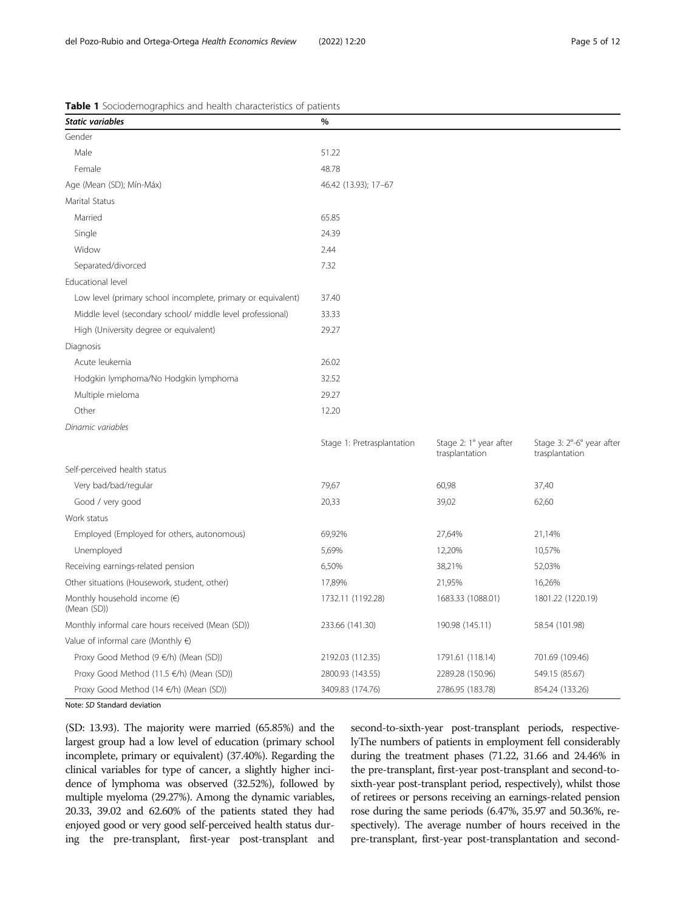| <b>Static variables</b>                                      | $\%$                       |                                          |                                             |
|--------------------------------------------------------------|----------------------------|------------------------------------------|---------------------------------------------|
| Gender                                                       |                            |                                          |                                             |
| Male                                                         | 51.22                      |                                          |                                             |
| Female                                                       | 48.78                      |                                          |                                             |
| Age (Mean (SD); Mín-Máx)                                     | 46.42 (13.93); 17-67       |                                          |                                             |
| Marital Status                                               |                            |                                          |                                             |
| Married                                                      | 65.85                      |                                          |                                             |
| Single                                                       | 24.39                      |                                          |                                             |
| Widow                                                        | 2.44                       |                                          |                                             |
| Separated/divorced                                           | 7.32                       |                                          |                                             |
| Educational level                                            |                            |                                          |                                             |
| Low level (primary school incomplete, primary or equivalent) | 37.40                      |                                          |                                             |
| Middle level (secondary school/ middle level professional)   | 33.33                      |                                          |                                             |
| High (University degree or equivalent)                       | 29.27                      |                                          |                                             |
| Diagnosis                                                    |                            |                                          |                                             |
| Acute leukemia                                               | 26.02                      |                                          |                                             |
| Hodgkin lymphoma/No Hodgkin lymphoma                         | 32.52                      |                                          |                                             |
| Multiple mieloma                                             | 29.27                      |                                          |                                             |
| Other                                                        | 12.20                      |                                          |                                             |
| Dinamic variables                                            |                            |                                          |                                             |
|                                                              | Stage 1: Pretrasplantation | Stage 2: 1° year after<br>trasplantation | Stage 3: 2°-6° year after<br>trasplantation |
| Self-perceived health status                                 |                            |                                          |                                             |
| Very bad/bad/regular                                         | 79,67                      | 60,98                                    | 37,40                                       |
| Good / very good                                             | 20,33                      | 39,02                                    | 62,60                                       |
| Work status                                                  |                            |                                          |                                             |
| Employed (Employed for others, autonomous)                   | 69,92%                     | 27,64%                                   | 21,14%                                      |
| Unemployed                                                   | 5,69%                      | 12,20%                                   | 10,57%                                      |
| Receiving earnings-related pension                           | 6,50%                      | 38,21%                                   | 52,03%                                      |
| Other situations (Housework, student, other)                 | 17,89%                     | 21,95%                                   | 16,26%                                      |
| Monthly household income $(\epsilon)$<br>(Mean (SD))         | 1732.11 (1192.28)          | 1683.33 (1088.01)                        | 1801.22 (1220.19)                           |
| Monthly informal care hours received (Mean (SD))             | 233.66 (141.30)            | 190.98 (145.11)                          | 58.54 (101.98)                              |
| Value of informal care (Monthly $\in$ )                      |                            |                                          |                                             |
| Proxy Good Method (9 €/h) (Mean (SD))                        | 2192.03 (112.35)           | 1791.61 (118.14)                         | 701.69 (109.46)                             |
| Proxy Good Method (11.5 €/h) (Mean (SD))                     | 2800.93 (143.55)           | 2289.28 (150.96)                         | 549.15 (85.67)                              |
| Proxy Good Method (14 €/h) (Mean (SD))                       | 3409.83 (174.76)           | 2786.95 (183.78)                         | 854.24 (133.26)                             |

## <span id="page-4-0"></span>Table 1 Sociodemographics and health characteristics of patients

Note: SD Standard deviation

(SD: 13.93). The majority were married (65.85%) and the largest group had a low level of education (primary school incomplete, primary or equivalent) (37.40%). Regarding the clinical variables for type of cancer, a slightly higher incidence of lymphoma was observed (32.52%), followed by multiple myeloma (29.27%). Among the dynamic variables, 20.33, 39.02 and 62.60% of the patients stated they had enjoyed good or very good self-perceived health status during the pre-transplant, first-year post-transplant and

second-to-sixth-year post-transplant periods, respectivelyThe numbers of patients in employment fell considerably during the treatment phases (71.22, 31.66 and 24.46% in the pre-transplant, first-year post-transplant and second-tosixth-year post-transplant period, respectively), whilst those of retirees or persons receiving an earnings-related pension rose during the same periods (6.47%, 35.97 and 50.36%, respectively). The average number of hours received in the pre-transplant, first-year post-transplantation and second-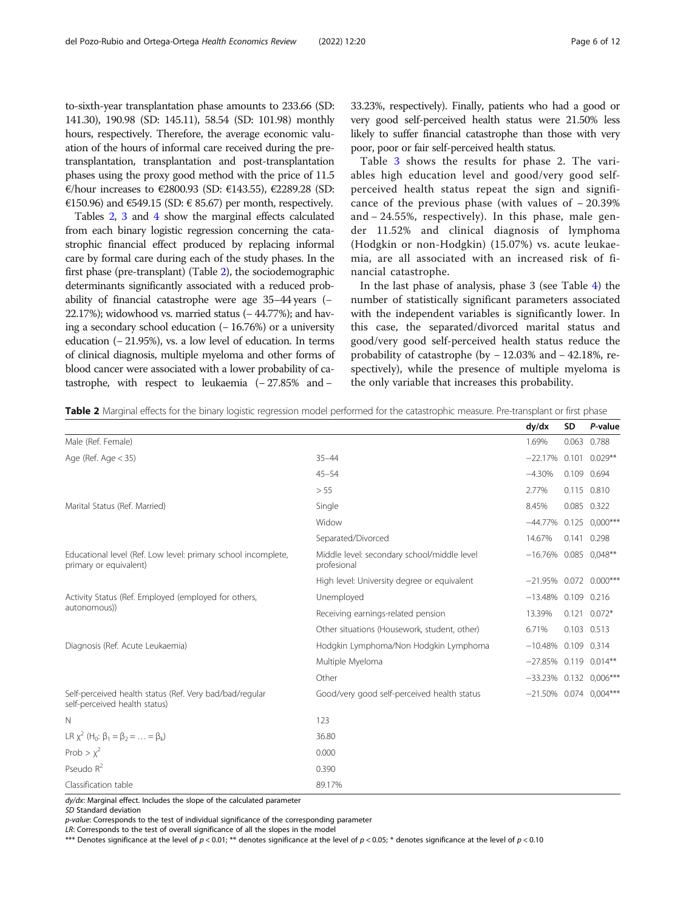to-sixth-year transplantation phase amounts to 233.66 (SD: 141.30), 190.98 (SD: 145.11), 58.54 (SD: 101.98) monthly hours, respectively. Therefore, the average economic valuation of the hours of informal care received during the pretransplantation, transplantation and post-transplantation phases using the proxy good method with the price of 11.5 €/hour increases to €2800.93 (SD: €143.55), €2289.28 (SD: €150.96) and €549.15 (SD:  $€ 85.67$ ) per month, respectively.

Tables 2, [3](#page-6-0) and [4](#page-7-0) show the marginal effects calculated from each binary logistic regression concerning the catastrophic financial effect produced by replacing informal care by formal care during each of the study phases. In the first phase (pre-transplant) (Table 2), the sociodemographic determinants significantly associated with a reduced probability of financial catastrophe were age 35–44 years (− 22.17%); widowhood vs. married status (− 44.77%); and having a secondary school education (− 16.76%) or a university education (− 21.95%), vs. a low level of education. In terms of clinical diagnosis, multiple myeloma and other forms of blood cancer were associated with a lower probability of catastrophe, with respect to leukaemia (− 27.85% and −

33.23%, respectively). Finally, patients who had a good or very good self-perceived health status were 21.50% less likely to suffer financial catastrophe than those with very poor, poor or fair self-perceived health status.

Table [3](#page-6-0) shows the results for phase 2. The variables high education level and good/very good selfperceived health status repeat the sign and significance of the previous phase (with values of − 20.39% and − 24.55%, respectively). In this phase, male gender 11.52% and clinical diagnosis of lymphoma (Hodgkin or non-Hodgkin) (15.07%) vs. acute leukaemia, are all associated with an increased risk of financial catastrophe.

In the last phase of analysis, phase 3 (see Table [4](#page-7-0)) the number of statistically significant parameters associated with the independent variables is significantly lower. In this case, the separated/divorced marital status and good/very good self-perceived health status reduce the probability of catastrophe (by − 12.03% and − 42.18%, respectively), while the presence of multiple myeloma is the only variable that increases this probability.

Table 2 Marginal effects for the binary logistic regression model performed for the catastrophic measure. Pre-transplant or first phase

|                                                                                          |                                                            | dy/dx                     | SD    | P-value          |
|------------------------------------------------------------------------------------------|------------------------------------------------------------|---------------------------|-------|------------------|
| Male (Ref. Female)                                                                       |                                                            | 1.69%                     | 0.063 | 0.788            |
| Age (Ref. Age $<$ 35)                                                                    | $35 - 44$                                                  | $-22.17%$                 | 0.101 | $0.029**$        |
|                                                                                          | $45 - 54$                                                  | $-4.30%$                  |       | 0.109 0.694      |
|                                                                                          | > 55                                                       | 2.77%                     |       | 0.115 0.810      |
| Marital Status (Ref. Married)                                                            | Single                                                     | 8.45%                     |       | 0.085 0.322      |
|                                                                                          | Widow                                                      | $-44.77%$                 | 0.125 | $0.000***$       |
|                                                                                          | Separated/Divorced                                         | 14.67%                    |       | 0.141 0.298      |
| Educational level (Ref. Low level: primary school incomplete,<br>primary or equivalent)  | Middle level: secondary school/middle level<br>profesional | $-16.76\%$ 0.085 0.048**  |       |                  |
|                                                                                          | High level: University degree or equivalent                | $-21.95\%$ 0.072 0.000*** |       |                  |
| Activity Status (Ref. Employed (employed for others,                                     | Unemployed                                                 | $-13.48\%$ 0.109          |       | 0.216            |
| autonomous))                                                                             | Receiving earnings-related pension                         | 13.39%                    |       | $0.121$ $0.072*$ |
|                                                                                          | Other situations (Housework, student, other)               | 6.71%                     |       | 0.103 0.513      |
| Diagnosis (Ref. Acute Leukaemia)                                                         | Hodgkin Lymphoma/Non Hodgkin Lymphoma                      | $-10.48\%$ 0.109 0.314    |       |                  |
|                                                                                          | Multiple Myeloma                                           | $-27.85\%$ 0.119          |       | $0.014**$        |
|                                                                                          | Other                                                      | $-33.23\%$ 0.132 0,006*** |       |                  |
| Self-perceived health status (Ref. Very bad/bad/regular<br>self-perceived health status) | Good/very good self-perceived health status                | $-21.50\%$ 0.074 0,004*** |       |                  |
| $\mathbb N$                                                                              | 123                                                        |                           |       |                  |
| LR $\chi^2$ (H <sub>0</sub> : $\beta_1 = \beta_2 =  = \beta_k$ )                         | 36.80                                                      |                           |       |                  |
| Prob $> x^2$                                                                             | 0.000                                                      |                           |       |                  |
| Pseudo $R^2$                                                                             | 0.390                                                      |                           |       |                  |
| Classification table                                                                     | 89.17%                                                     |                           |       |                  |

dy/dx: Marginal effect. Includes the slope of the calculated parameter

SD Standard deviation

p-value: Corresponds to the test of individual significance of the corresponding parameter

LR: Corresponds to the test of overall significance of all the slopes in the model

\*\*\* Denotes significance at the level of  $p < 0.01$ ; \*\* denotes significance at the level of  $p < 0.05$ ; \* denotes significance at the level of  $p < 0.10$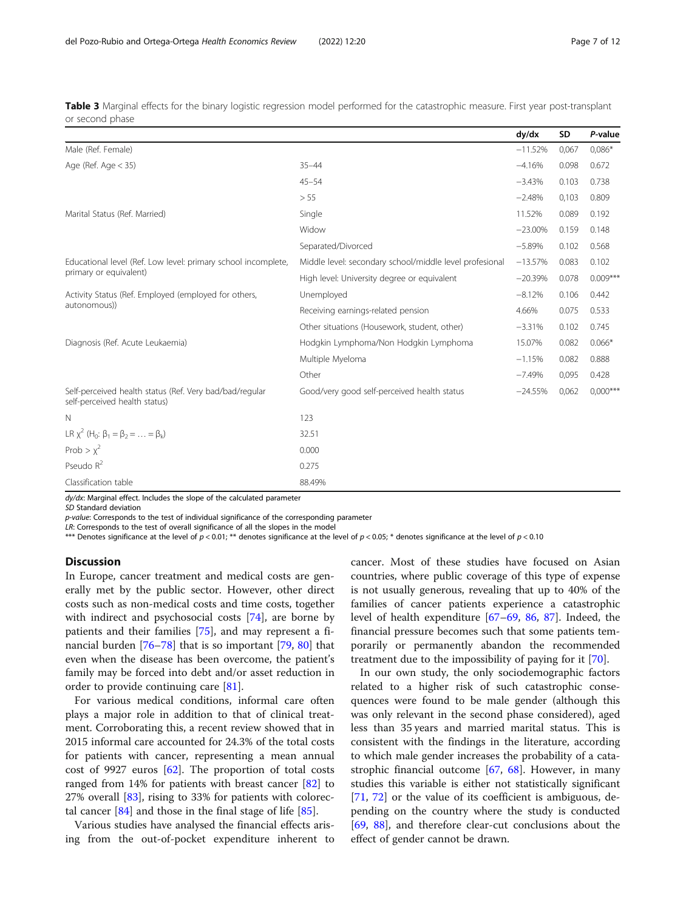|                                                                                          |                                                         | dy/dx     | SD    | P-value    |
|------------------------------------------------------------------------------------------|---------------------------------------------------------|-----------|-------|------------|
| Male (Ref. Female)                                                                       |                                                         | $-11.52%$ | 0,067 | $0,086*$   |
| Age (Ref. Age $<$ 35)                                                                    | $35 - 44$                                               | $-4.16%$  | 0.098 | 0.672      |
|                                                                                          | $45 - 54$                                               | $-3.43%$  | 0.103 | 0.738      |
|                                                                                          | > 55                                                    | $-2.48%$  | 0,103 | 0.809      |
| Marital Status (Ref. Married)                                                            | Single                                                  | 11.52%    | 0.089 | 0.192      |
|                                                                                          | Widow                                                   | $-23.00%$ | 0.159 | 0.148      |
|                                                                                          | Separated/Divorced                                      | $-5.89%$  | 0.102 | 0.568      |
| Educational level (Ref. Low level: primary school incomplete,<br>primary or equivalent)  | Middle level: secondary school/middle level profesional | $-13.57%$ | 0.083 | 0.102      |
|                                                                                          | High level: University degree or equivalent             | $-20.39%$ | 0.078 | $0.009***$ |
| Activity Status (Ref. Employed (employed for others,<br>autonomous))                     | Unemployed                                              | $-8.12%$  | 0.106 | 0.442      |
|                                                                                          | Receiving earnings-related pension                      | 4.66%     | 0.075 | 0.533      |
|                                                                                          | Other situations (Housework, student, other)            | $-3.31%$  | 0.102 | 0.745      |
| Diagnosis (Ref. Acute Leukaemia)                                                         | Hodgkin Lymphoma/Non Hodgkin Lymphoma                   | 15.07%    | 0.082 | $0.066*$   |
|                                                                                          | Multiple Myeloma                                        | $-1.15%$  | 0.082 | 0.888      |
|                                                                                          | Other                                                   | $-7.49%$  | 0,095 | 0.428      |
| Self-perceived health status (Ref. Very bad/bad/regular<br>self-perceived health status) | Good/very good self-perceived health status             | $-24.55%$ | 0,062 | $0,000***$ |
| $\mathbb N$                                                                              | 123                                                     |           |       |            |
| LR $\chi^2$ (H <sub>0</sub> : $\beta_1 = \beta_2 =  = \beta_k$ )                         | 32.51                                                   |           |       |            |
| Prob $> x^2$                                                                             | 0.000                                                   |           |       |            |
| Pseudo $R^2$                                                                             | 0.275                                                   |           |       |            |
| Classification table                                                                     | 88.49%                                                  |           |       |            |

<span id="page-6-0"></span>Table 3 Marginal effects for the binary logistic regression model performed for the catastrophic measure. First year post-transplant or second phase

dy/dx: Marginal effect. Includes the slope of the calculated parameter

SD Standard deviation

p-value: Corresponds to the test of individual significance of the corresponding parameter

LR: Corresponds to the test of overall significance of all the slopes in the model

\*\*\* Denotes significance at the level of  $p < 0.01$ ; \*\* denotes significance at the level of  $p < 0.05$ ; \* denotes significance at the level of  $p < 0.10$ 

#### **Discussion**

In Europe, cancer treatment and medical costs are generally met by the public sector. However, other direct costs such as non-medical costs and time costs, together with indirect and psychosocial costs [[74\]](#page-11-0), are borne by patients and their families [[75\]](#page-11-0), and may represent a financial burden [\[76](#page-11-0)–[78\]](#page-11-0) that is so important [\[79](#page-11-0), [80](#page-11-0)] that even when the disease has been overcome, the patient's family may be forced into debt and/or asset reduction in order to provide continuing care [[81](#page-11-0)].

For various medical conditions, informal care often plays a major role in addition to that of clinical treatment. Corroborating this, a recent review showed that in 2015 informal care accounted for 24.3% of the total costs for patients with cancer, representing a mean annual cost of 9927 euros  $[62]$  $[62]$ . The proportion of total costs ranged from 14% for patients with breast cancer [[82\]](#page-11-0) to 27% overall [\[83](#page-11-0)], rising to 33% for patients with colorectal cancer [[84](#page-11-0)] and those in the final stage of life [\[85](#page-11-0)].

Various studies have analysed the financial effects arising from the out-of-pocket expenditure inherent to cancer. Most of these studies have focused on Asian countries, where public coverage of this type of expense is not usually generous, revealing that up to 40% of the families of cancer patients experience a catastrophic level of health expenditure [\[67](#page-11-0)–[69,](#page-11-0) [86](#page-11-0), [87](#page-11-0)]. Indeed, the financial pressure becomes such that some patients temporarily or permanently abandon the recommended treatment due to the impossibility of paying for it [\[70\]](#page-11-0).

In our own study, the only sociodemographic factors related to a higher risk of such catastrophic consequences were found to be male gender (although this was only relevant in the second phase considered), aged less than 35 years and married marital status. This is consistent with the findings in the literature, according to which male gender increases the probability of a catastrophic financial outcome [[67](#page-11-0), [68\]](#page-11-0). However, in many studies this variable is either not statistically significant [[71,](#page-11-0) [72](#page-11-0)] or the value of its coefficient is ambiguous, depending on the country where the study is conducted [[69,](#page-11-0) [88](#page-11-0)], and therefore clear-cut conclusions about the effect of gender cannot be drawn.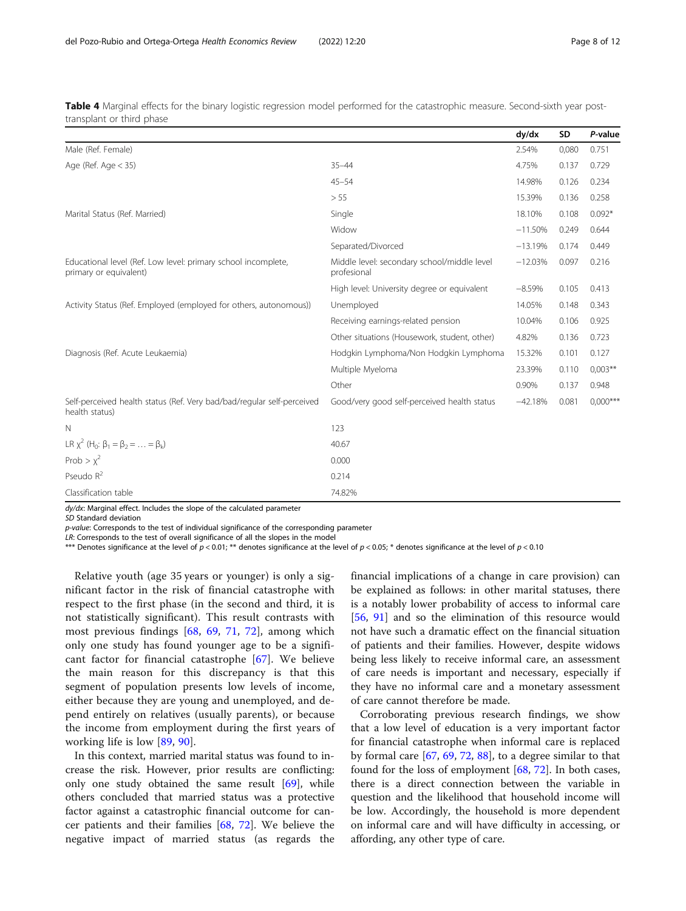|                                                                                          |                                                            | dy/dx     | <b>SD</b> | P-value    |
|------------------------------------------------------------------------------------------|------------------------------------------------------------|-----------|-----------|------------|
| Male (Ref. Female)                                                                       |                                                            | 2.54%     | 0,080     | 0.751      |
| Age (Ref. Age $<$ 35)                                                                    | $35 - 44$                                                  | 4.75%     | 0.137     | 0.729      |
|                                                                                          | $45 - 54$                                                  | 14.98%    | 0.126     | 0.234      |
|                                                                                          | > 55                                                       | 15.39%    | 0.136     | 0.258      |
| Marital Status (Ref. Married)                                                            | Single                                                     | 18.10%    | 0.108     | $0.092*$   |
|                                                                                          | Widow                                                      | $-11.50%$ | 0.249     | 0.644      |
|                                                                                          | Separated/Divorced                                         | $-13.19%$ | 0.174     | 0.449      |
| Educational level (Ref. Low level: primary school incomplete,<br>primary or equivalent)  | Middle level: secondary school/middle level<br>profesional | $-12.03%$ | 0.097     | 0.216      |
|                                                                                          | High level: University degree or equivalent                | $-8.59%$  | 0.105     | 0.413      |
| Activity Status (Ref. Employed (employed for others, autonomous))                        | Unemployed                                                 | 14.05%    | 0.148     | 0.343      |
|                                                                                          | Receiving earnings-related pension                         | 10.04%    | 0.106     | 0.925      |
|                                                                                          | Other situations (Housework, student, other)               | 4.82%     | 0.136     | 0.723      |
| Diagnosis (Ref. Acute Leukaemia)                                                         | Hodgkin Lymphoma/Non Hodgkin Lymphoma                      | 15.32%    | 0.101     | 0.127      |
|                                                                                          | Multiple Myeloma                                           | 23.39%    | 0.110     | $0.003***$ |
|                                                                                          | Other                                                      | 0.90%     | 0.137     | 0.948      |
| Self-perceived health status (Ref. Very bad/bad/regular self-perceived<br>health status) | Good/very good self-perceived health status                | $-42.18%$ | 0.081     | $0,000***$ |
| $\mathbb N$                                                                              | 123                                                        |           |           |            |
| LR $\chi^2$ (H <sub>0</sub> : $\beta_1 = \beta_2 =  = \beta_k$ )                         | 40.67                                                      |           |           |            |
| Prob $> x^2$                                                                             | 0.000                                                      |           |           |            |
| Pseudo $R^2$                                                                             | 0.214                                                      |           |           |            |
| Classification table                                                                     | 74.82%                                                     |           |           |            |

<span id="page-7-0"></span>Table 4 Marginal effects for the binary logistic regression model performed for the catastrophic measure. Second-sixth year posttransplant or third phase

dy/dx: Marginal effect. Includes the slope of the calculated parameter

SD Standard deviation

p-value: Corresponds to the test of individual significance of the corresponding parameter

LR: Corresponds to the test of overall significance of all the slopes in the model

\*\*\* Denotes significance at the level of  $p < 0.01$ ; \*\* denotes significance at the level of  $p < 0.05$ ; \* denotes significance at the level of  $p < 0.10$ 

Relative youth (age 35 years or younger) is only a significant factor in the risk of financial catastrophe with respect to the first phase (in the second and third, it is not statistically significant). This result contrasts with most previous findings [[68,](#page-11-0) [69](#page-11-0), [71](#page-11-0), [72\]](#page-11-0), among which only one study has found younger age to be a significant factor for financial catastrophe [\[67](#page-11-0)]. We believe the main reason for this discrepancy is that this segment of population presents low levels of income, either because they are young and unemployed, and depend entirely on relatives (usually parents), or because the income from employment during the first years of working life is low [[89,](#page-11-0) [90\]](#page-11-0).

In this context, married marital status was found to increase the risk. However, prior results are conflicting: only one study obtained the same result [[69\]](#page-11-0), while others concluded that married status was a protective factor against a catastrophic financial outcome for cancer patients and their families [\[68](#page-11-0), [72](#page-11-0)]. We believe the negative impact of married status (as regards the

financial implications of a change in care provision) can be explained as follows: in other marital statuses, there is a notably lower probability of access to informal care [[56,](#page-10-0) [91](#page-11-0)] and so the elimination of this resource would not have such a dramatic effect on the financial situation of patients and their families. However, despite widows being less likely to receive informal care, an assessment of care needs is important and necessary, especially if they have no informal care and a monetary assessment of care cannot therefore be made.

Corroborating previous research findings, we show that a low level of education is a very important factor for financial catastrophe when informal care is replaced by formal care  $[67, 69, 72, 88]$  $[67, 69, 72, 88]$  $[67, 69, 72, 88]$  $[67, 69, 72, 88]$  $[67, 69, 72, 88]$  $[67, 69, 72, 88]$  $[67, 69, 72, 88]$  $[67, 69, 72, 88]$  $[67, 69, 72, 88]$ , to a degree similar to that found for the loss of employment [[68,](#page-11-0) [72\]](#page-11-0). In both cases, there is a direct connection between the variable in question and the likelihood that household income will be low. Accordingly, the household is more dependent on informal care and will have difficulty in accessing, or affording, any other type of care.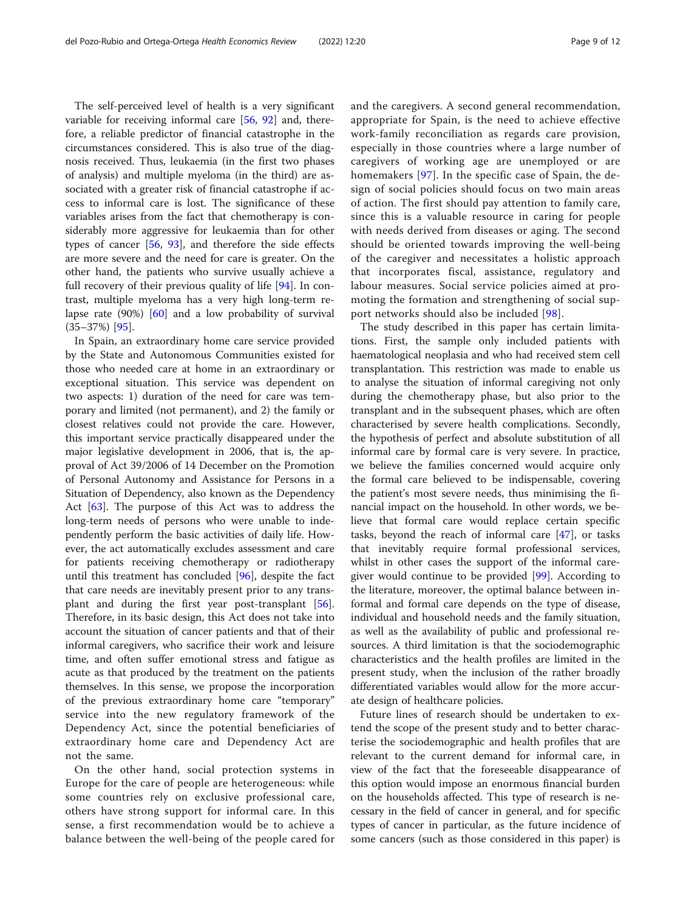The self-perceived level of health is a very significant variable for receiving informal care [[56](#page-10-0), [92\]](#page-11-0) and, therefore, a reliable predictor of financial catastrophe in the circumstances considered. This is also true of the diagnosis received. Thus, leukaemia (in the first two phases of analysis) and multiple myeloma (in the third) are associated with a greater risk of financial catastrophe if access to informal care is lost. The significance of these variables arises from the fact that chemotherapy is considerably more aggressive for leukaemia than for other types of cancer [\[56](#page-10-0), [93\]](#page-11-0), and therefore the side effects are more severe and the need for care is greater. On the other hand, the patients who survive usually achieve a full recovery of their previous quality of life [\[94\]](#page-11-0). In contrast, multiple myeloma has a very high long-term relapse rate (90%) [[60\]](#page-10-0) and a low probability of survival (35–37%) [[95](#page-11-0)].

In Spain, an extraordinary home care service provided by the State and Autonomous Communities existed for those who needed care at home in an extraordinary or exceptional situation. This service was dependent on two aspects: 1) duration of the need for care was temporary and limited (not permanent), and 2) the family or closest relatives could not provide the care. However, this important service practically disappeared under the major legislative development in 2006, that is, the approval of Act 39/2006 of 14 December on the Promotion of Personal Autonomy and Assistance for Persons in a Situation of Dependency, also known as the Dependency Act [\[63](#page-10-0)]. The purpose of this Act was to address the long-term needs of persons who were unable to independently perform the basic activities of daily life. However, the act automatically excludes assessment and care for patients receiving chemotherapy or radiotherapy until this treatment has concluded [[96\]](#page-11-0), despite the fact that care needs are inevitably present prior to any transplant and during the first year post-transplant [\[56](#page-10-0)]. Therefore, in its basic design, this Act does not take into account the situation of cancer patients and that of their informal caregivers, who sacrifice their work and leisure time, and often suffer emotional stress and fatigue as acute as that produced by the treatment on the patients themselves. In this sense, we propose the incorporation of the previous extraordinary home care "temporary" service into the new regulatory framework of the Dependency Act, since the potential beneficiaries of extraordinary home care and Dependency Act are not the same.

On the other hand, social protection systems in Europe for the care of people are heterogeneous: while some countries rely on exclusive professional care, others have strong support for informal care. In this sense, a first recommendation would be to achieve a balance between the well-being of the people cared for and the caregivers. A second general recommendation, appropriate for Spain, is the need to achieve effective work-family reconciliation as regards care provision, especially in those countries where a large number of caregivers of working age are unemployed or are homemakers [\[97\]](#page-11-0). In the specific case of Spain, the design of social policies should focus on two main areas of action. The first should pay attention to family care, since this is a valuable resource in caring for people with needs derived from diseases or aging. The second should be oriented towards improving the well-being of the caregiver and necessitates a holistic approach that incorporates fiscal, assistance, regulatory and labour measures. Social service policies aimed at promoting the formation and strengthening of social support networks should also be included [[98](#page-11-0)].

The study described in this paper has certain limitations. First, the sample only included patients with haematological neoplasia and who had received stem cell transplantation. This restriction was made to enable us to analyse the situation of informal caregiving not only during the chemotherapy phase, but also prior to the transplant and in the subsequent phases, which are often characterised by severe health complications. Secondly, the hypothesis of perfect and absolute substitution of all informal care by formal care is very severe. In practice, we believe the families concerned would acquire only the formal care believed to be indispensable, covering the patient's most severe needs, thus minimising the financial impact on the household. In other words, we believe that formal care would replace certain specific tasks, beyond the reach of informal care [[47](#page-10-0)], or tasks that inevitably require formal professional services, whilst in other cases the support of the informal caregiver would continue to be provided [\[99\]](#page-11-0). According to the literature, moreover, the optimal balance between informal and formal care depends on the type of disease, individual and household needs and the family situation, as well as the availability of public and professional resources. A third limitation is that the sociodemographic characteristics and the health profiles are limited in the present study, when the inclusion of the rather broadly differentiated variables would allow for the more accurate design of healthcare policies.

Future lines of research should be undertaken to extend the scope of the present study and to better characterise the sociodemographic and health profiles that are relevant to the current demand for informal care, in view of the fact that the foreseeable disappearance of this option would impose an enormous financial burden on the households affected. This type of research is necessary in the field of cancer in general, and for specific types of cancer in particular, as the future incidence of some cancers (such as those considered in this paper) is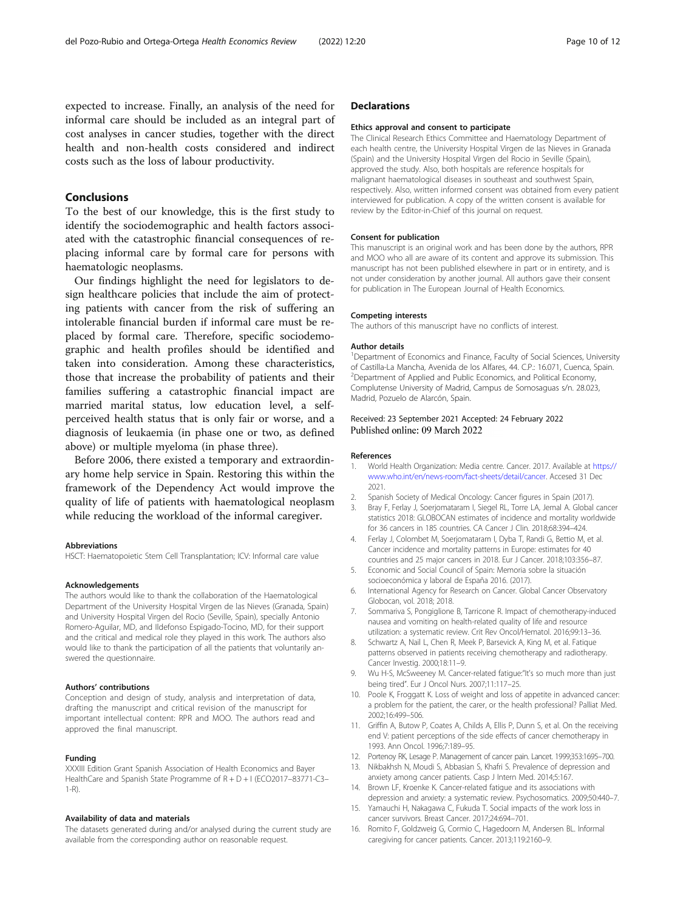<span id="page-9-0"></span>expected to increase. Finally, an analysis of the need for informal care should be included as an integral part of cost analyses in cancer studies, together with the direct health and non-health costs considered and indirect costs such as the loss of labour productivity.

# Conclusions

To the best of our knowledge, this is the first study to identify the sociodemographic and health factors associated with the catastrophic financial consequences of replacing informal care by formal care for persons with haematologic neoplasms.

Our findings highlight the need for legislators to design healthcare policies that include the aim of protecting patients with cancer from the risk of suffering an intolerable financial burden if informal care must be replaced by formal care. Therefore, specific sociodemographic and health profiles should be identified and taken into consideration. Among these characteristics, those that increase the probability of patients and their families suffering a catastrophic financial impact are married marital status, low education level, a selfperceived health status that is only fair or worse, and a diagnosis of leukaemia (in phase one or two, as defined above) or multiple myeloma (in phase three).

Before 2006, there existed a temporary and extraordinary home help service in Spain. Restoring this within the framework of the Dependency Act would improve the quality of life of patients with haematological neoplasm while reducing the workload of the informal caregiver.

#### Abbreviations

HSCT: Haematopoietic Stem Cell Transplantation; ICV: Informal care value

#### Acknowledgements

The authors would like to thank the collaboration of the Haematological Department of the University Hospital Virgen de las Nieves (Granada, Spain) and University Hospital Virgen del Rocio (Seville, Spain), specially Antonio Romero-Aguilar, MD, and Ildefonso Espigado-Tocino, MD, for their support and the critical and medical role they played in this work. The authors also would like to thank the participation of all the patients that voluntarily answered the questionnaire.

#### Authors' contributions

Conception and design of study, analysis and interpretation of data, drafting the manuscript and critical revision of the manuscript for important intellectual content: RPR and MOO. The authors read and approved the final manuscript.

#### Funding

XXXIII Edition Grant Spanish Association of Health Economics and Bayer HealthCare and Spanish State Programme of R + D + I (ECO2017–83771-C3– 1-R).

#### Availability of data and materials

The datasets generated during and/or analysed during the current study are available from the corresponding author on reasonable request.

## **Declarations**

#### Ethics approval and consent to participate

The Clinical Research Ethics Committee and Haematology Department of each health centre, the University Hospital Virgen de las Nieves in Granada (Spain) and the University Hospital Virgen del Rocio in Seville (Spain), approved the study. Also, both hospitals are reference hospitals for malignant haematological diseases in southeast and southwest Spain, respectively. Also, written informed consent was obtained from every patient interviewed for publication. A copy of the written consent is available for review by the Editor-in-Chief of this journal on request.

#### Consent for publication

This manuscript is an original work and has been done by the authors, RPR and MOO who all are aware of its content and approve its submission. This manuscript has not been published elsewhere in part or in entirety, and is not under consideration by another journal. All authors gave their consent for publication in The European Journal of Health Economics.

#### Competing interests

The authors of this manuscript have no conflicts of interest.

#### Author details

<sup>1</sup>Department of Economics and Finance, Faculty of Social Sciences, University of Castilla-La Mancha, Avenida de los Alfares, 44. C.P.: 16.071, Cuenca, Spain. <sup>2</sup> Department of Applied and Public Economics, and Political Economy, Complutense University of Madrid, Campus de Somosaguas s/n. 28.023, Madrid, Pozuelo de Alarcón, Spain.

# Received: 23 September 2021 Accepted: 24 February 2022

#### References

- 1. World Health Organization: Media centre. Cancer. 2017. Available at [https://](https://www.who.int/en/news-room/fact-sheets/detail/cancer) [www.who.int/en/news-room/fact-sheets/detail/cancer](https://www.who.int/en/news-room/fact-sheets/detail/cancer). Accesed 31 Dec 2021.
- 2. Spanish Society of Medical Oncology: Cancer figures in Spain (2017).
- 3. Bray F, Ferlay J, Soerjomataram I, Siegel RL, Torre LA, Jemal A. Global cancer statistics 2018: GLOBOCAN estimates of incidence and mortality worldwide for 36 cancers in 185 countries. CA Cancer J Clin. 2018;68:394–424.
- 4. Ferlay J, Colombet M, Soerjomataram I, Dyba T, Randi G, Bettio M, et al. Cancer incidence and mortality patterns in Europe: estimates for 40 countries and 25 major cancers in 2018. Eur J Cancer. 2018;103:356–87.
- 5. Economic and Social Council of Spain: Memoria sobre la situación socioeconómica y laboral de España 2016. (2017).
- 6. International Agency for Research on Cancer. Global Cancer Observatory Globocan, vol. 2018; 2018.
- 7. Sommariva S, Pongiglione B, Tarricone R. Impact of chemotherapy-induced nausea and vomiting on health-related quality of life and resource utilization: a systematic review. Crit Rev Oncol/Hematol. 2016;99:13–36.
- 8. Schwartz A, Nail L, Chen R, Meek P, Barsevick A, King M, et al. Fatique patterns observed in patients receiving chemotherapy and radiotherapy. Cancer Investig. 2000;18:11–9.
- 9. Wu H-S, McSweeney M. Cancer-related fatigue:"It's so much more than just being tired". Eur J Oncol Nurs. 2007;11:117–25.
- 10. Poole K, Froggatt K. Loss of weight and loss of appetite in advanced cancer: a problem for the patient, the carer, or the health professional? Palliat Med. 2002;16:499–506.
- 11. Griffin A, Butow P, Coates A, Childs A, Ellis P, Dunn S, et al. On the receiving end V: patient perceptions of the side effects of cancer chemotherapy in 1993. Ann Oncol. 1996;7:189–95.
- 12. Portenoy RK, Lesage P. Management of cancer pain. Lancet. 1999;353:1695–700.
- 13. Nikbakhsh N, Moudi S, Abbasian S, Khafri S. Prevalence of depression and anxiety among cancer patients. Casp J Intern Med. 2014;5:167.
- 14. Brown LF, Kroenke K. Cancer-related fatigue and its associations with depression and anxiety: a systematic review. Psychosomatics. 2009;50:440–7. 15. Yamauchi H, Nakagawa C, Fukuda T. Social impacts of the work loss in
- cancer survivors. Breast Cancer. 2017;24:694–701.
- 16. Romito F, Goldzweig G, Cormio C, Hagedoorn M, Andersen BL. Informal caregiving for cancer patients. Cancer. 2013;119:2160–9.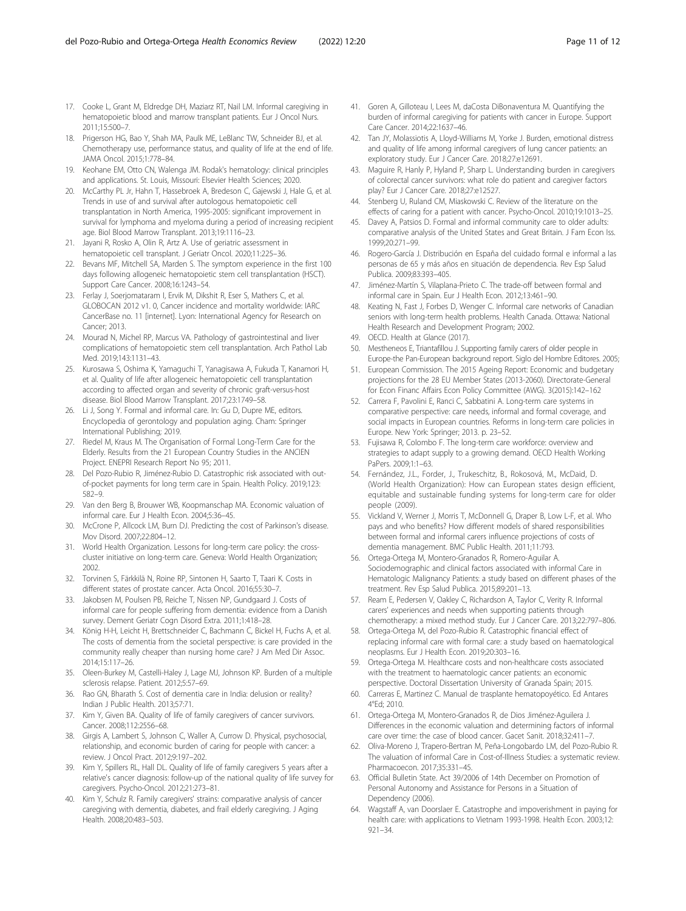- <span id="page-10-0"></span>17. Cooke L, Grant M, Eldredge DH, Maziarz RT, Nail LM. Informal caregiving in hematopoietic blood and marrow transplant patients. Eur J Oncol Nurs. 2011;15:500–7.
- 18. Prigerson HG, Bao Y, Shah MA, Paulk ME, LeBlanc TW, Schneider BJ, et al. Chemotherapy use, performance status, and quality of life at the end of life. JAMA Oncol. 2015;1:778–84.
- 19. Keohane EM, Otto CN, Walenga JM. Rodak's hematology: clinical principles and applications. St. Louis, Missouri: Elsevier Health Sciences; 2020.
- 20. McCarthy PL Jr, Hahn T, Hassebroek A, Bredeson C, Gajewski J, Hale G, et al. Trends in use of and survival after autologous hematopoietic cell transplantation in North America, 1995-2005: significant improvement in survival for lymphoma and myeloma during a period of increasing recipient age. Biol Blood Marrow Transplant. 2013;19:1116–23.
- 21. Jayani R, Rosko A, Olin R, Artz A. Use of geriatric assessment in hematopoietic cell transplant. J Geriatr Oncol. 2020;11:225–36.
- 22. Bevans MF, Mitchell SA, Marden S. The symptom experience in the first 100 days following allogeneic hematopoietic stem cell transplantation (HSCT). Support Care Cancer. 2008;16:1243–54.
- 23. Ferlay J, Soerjomataram I, Ervik M, Dikshit R, Eser S, Mathers C, et al. GLOBOCAN 2012 v1. 0, Cancer incidence and mortality worldwide: IARC CancerBase no. 11 [internet]. Lyon: International Agency for Research on Cancer; 2013.
- 24. Mourad N, Michel RP, Marcus VA. Pathology of gastrointestinal and liver complications of hematopoietic stem cell transplantation. Arch Pathol Lab Med. 2019;143:1131–43.
- 25. Kurosawa S, Oshima K, Yamaguchi T, Yanagisawa A, Fukuda T, Kanamori H, et al. Quality of life after allogeneic hematopoietic cell transplantation according to affected organ and severity of chronic graft-versus-host disease. Biol Blood Marrow Transplant. 2017;23:1749–58.
- 26. Li J, Song Y. Formal and informal care. In: Gu D, Dupre ME, editors. Encyclopedia of gerontology and population aging. Cham: Springer International Publishing; 2019.
- 27. Riedel M, Kraus M. The Organisation of Formal Long-Term Care for the Elderly. Results from the 21 European Country Studies in the ANCIEN Project. ENEPRI Research Report No 95; 2011.
- 28. Del Pozo-Rubio R, Jiménez-Rubio D. Catastrophic risk associated with outof-pocket payments for long term care in Spain. Health Policy. 2019;123: 582–9.
- 29. Van den Berg B, Brouwer WB, Koopmanschap MA. Economic valuation of informal care. Eur J Health Econ. 2004;5:36–45.
- 30. McCrone P, Allcock LM, Burn DJ. Predicting the cost of Parkinson's disease. Mov Disord. 2007;22:804–12.
- 31. World Health Organization. Lessons for long-term care policy: the crosscluster initiative on long-term care. Geneva: World Health Organization; 2002.
- 32. Torvinen S, Färkkilä N, Roine RP, Sintonen H, Saarto T, Taari K. Costs in different states of prostate cancer. Acta Oncol. 2016;55:30–7.
- 33. Jakobsen M, Poulsen PB, Reiche T, Nissen NP, Gundgaard J. Costs of informal care for people suffering from dementia: evidence from a Danish survey. Dement Geriatr Cogn Disord Extra. 2011;1:418–28.
- 34. König H-H, Leicht H, Brettschneider C, Bachmann C, Bickel H, Fuchs A, et al. The costs of dementia from the societal perspective: is care provided in the community really cheaper than nursing home care? J Am Med Dir Assoc. 2014;15:117–26.
- 35. Oleen-Burkey M, Castelli-Haley J, Lage MJ, Johnson KP. Burden of a multiple sclerosis relapse. Patient. 2012;5:57–69.
- 36. Rao GN, Bharath S. Cost of dementia care in India: delusion or reality? Indian J Public Health. 2013;57:71.
- 37. Kim Y, Given BA. Quality of life of family caregivers of cancer survivors. Cancer. 2008;112:2556–68.
- 38. Girgis A, Lambert S, Johnson C, Waller A, Currow D. Physical, psychosocial, relationship, and economic burden of caring for people with cancer: a review. J Oncol Pract. 2012;9:197–202.
- 39. Kim Y, Spillers RL, Hall DL. Quality of life of family caregivers 5 years after a relative's cancer diagnosis: follow-up of the national quality of life survey for caregivers. Psycho-Oncol. 2012;21:273–81.
- 40. Kim Y, Schulz R. Family caregivers' strains: comparative analysis of cancer caregiving with dementia, diabetes, and frail elderly caregiving. J Aging Health. 2008;20:483–503.
- 41. Goren A, Gilloteau I, Lees M, daCosta DiBonaventura M. Quantifying the burden of informal caregiving for patients with cancer in Europe. Support Care Cancer. 2014;22:1637–46.
- 42. Tan JY, Molassiotis A, Lloyd-Williams M, Yorke J. Burden, emotional distress and quality of life among informal caregivers of lung cancer patients: an exploratory study. Eur J Cancer Care. 2018;27:e12691.
- 43. Maguire R, Hanly P, Hyland P, Sharp L. Understanding burden in caregivers of colorectal cancer survivors: what role do patient and caregiver factors play? Eur J Cancer Care. 2018;27:e12527.
- 44. Stenberg U, Ruland CM, Miaskowski C. Review of the literature on the effects of caring for a patient with cancer. Psycho-Oncol. 2010;19:1013–25.
- 45. Davey A, Patsios D. Formal and informal community care to older adults: comparative analysis of the United States and Great Britain. J Fam Econ Iss. 1999;20:271–99.
- 46. Rogero-García J. Distribución en España del cuidado formal e informal a las personas de 65 y más años en situación de dependencia. Rev Esp Salud Publica. 2009;83:393–405.
- 47. Jiménez-Martín S, Vilaplana-Prieto C. The trade-off between formal and informal care in Spain. Eur J Health Econ. 2012;13:461–90.
- 48. Keating N, Fast J, Forbes D, Wenger C. Informal care networks of Canadian seniors with long-term health problems. Health Canada. Ottawa: National Health Research and Development Program; 2002.
- 49. OECD. Health at Glance (2017).
- 50. Mestheneos E, Triantafillou J. Supporting family carers of older people in Europe-the Pan-European background report. Siglo del Hombre Editores. 2005;
- 51. European Commission. The 2015 Ageing Report: Economic and budgetary projections for the 28 EU Member States (2013-2060). Directorate-General for Econ Financ Affairs Econ Policy Committee (AWG). 3(2015):142–162
- 52. Carrera F, Pavolini E, Ranci C, Sabbatini A. Long-term care systems in comparative perspective: care needs, informal and formal coverage, and social impacts in European countries. Reforms in long-term care policies in Europe. New York: Springer; 2013. p. 23–52.
- 53. Fujisawa R, Colombo F. The long-term care workforce: overview and strategies to adapt supply to a growing demand. OECD Health Working PaPers. 2009;1:1–63.
- 54. Fernández, J.L., Forder, J., Trukeschitz, B., Rokosová, M., McDaid, D. (World Health Organization): How can European states design efficient, equitable and sustainable funding systems for long-term care for older people (2009).
- Vickland V, Werner J, Morris T, McDonnell G, Draper B, Low L-F, et al. Who pays and who benefits? How different models of shared responsibilities between formal and informal carers influence projections of costs of dementia management. BMC Public Health. 2011;11:793.
- 56. Ortega-Ortega M, Montero-Granados R, Romero-Aguilar A. Sociodemographic and clinical factors associated with informal Care in Hematologic Malignancy Patients: a study based on different phases of the treatment. Rev Esp Salud Publica. 2015;89:201–13.
- 57. Ream E, Pedersen V, Oakley C, Richardson A, Taylor C, Verity R. Informal carers' experiences and needs when supporting patients through chemotherapy: a mixed method study. Eur J Cancer Care. 2013;22:797–806.
- 58. Ortega-Ortega M, del Pozo-Rubio R. Catastrophic financial effect of replacing informal care with formal care: a study based on haematological neoplasms. Eur J Health Econ. 2019;20:303–16.
- 59. Ortega-Ortega M. Healthcare costs and non-healthcare costs associated with the treatment to haematologic cancer patients: an economic perspective. Doctoral Dissertation University of Granada Spain; 2015.
- 60. Carreras E, Martinez C. Manual de trasplante hematopoyético. Ed Antares 4°Ed; 2010.
- 61. Ortega-Ortega M, Montero-Granados R, de Dios Jiménez-Aguilera J. Differences in the economic valuation and determining factors of informal care over time: the case of blood cancer. Gacet Sanit. 2018;32:411–7.
- 62. Oliva-Moreno J, Trapero-Bertran M, Peña-Longobardo LM, del Pozo-Rubio R. The valuation of informal Care in Cost-of-Illness Studies: a systematic review. Pharmacoecon. 2017;35:331–45.
- 63. Official Bulletin State. Act 39/2006 of 14th December on Promotion of Personal Autonomy and Assistance for Persons in a Situation of Dependency (2006).
- 64. Wagstaff A, van Doorslaer E. Catastrophe and impoverishment in paying for health care: with applications to Vietnam 1993-1998. Health Econ. 2003;12: 921–34.